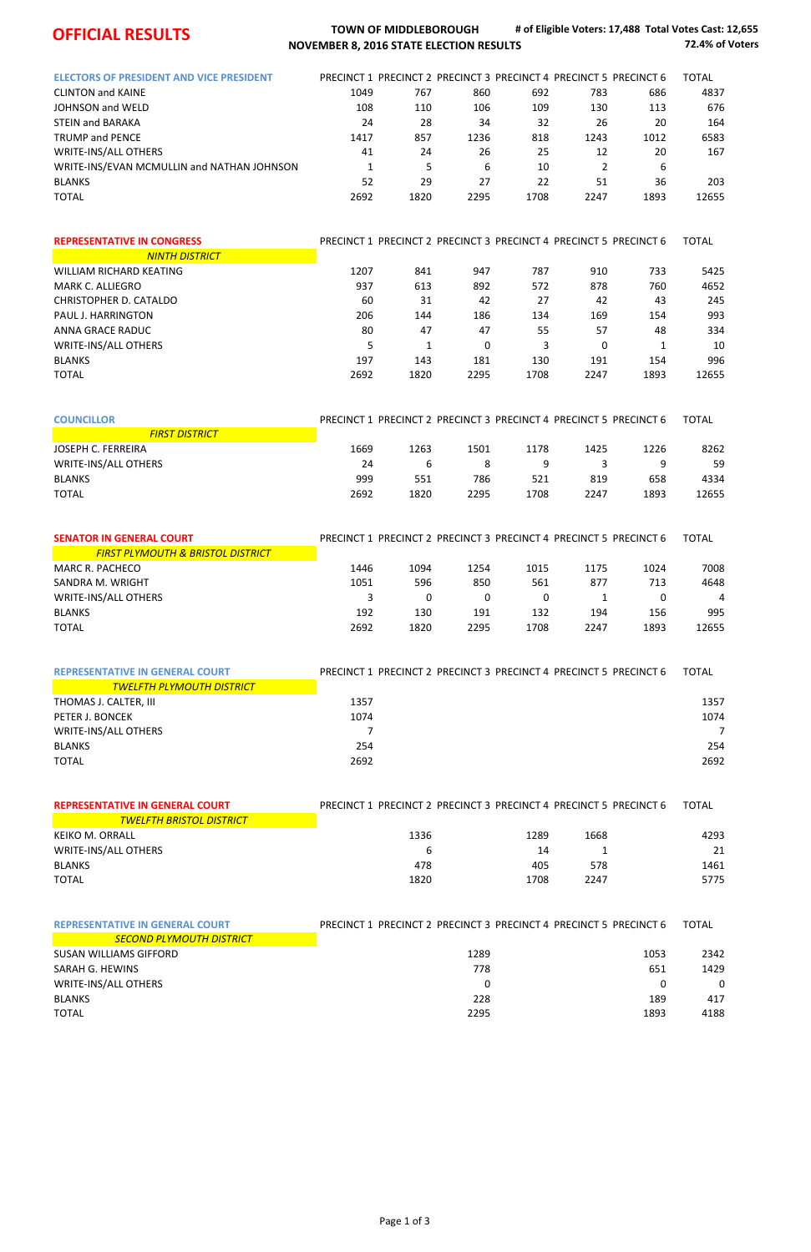

## **OFFICIAL RESULTS TOWN** OF MIDDLEBOROUGH **NOVEMBER 8, 2016 STATE ELECTION RESULTS**

**# of Eligible Voters: 17,488 Total Votes Cast: 12,655 72.4% of Voters**

| <b>ELECTORS OF PRESIDENT AND VICE PRESIDENT</b> |      | PRECINCT 1 PRECINCT 2 PRECINCT 3 PRECINCT 4 PRECINCT 5 PRECINCT 6 |      |      |      |      | <b>TOTAL</b> |
|-------------------------------------------------|------|-------------------------------------------------------------------|------|------|------|------|--------------|
| <b>CLINTON and KAINE</b>                        | 1049 | 767                                                               | 860  | 692  | 783  | 686  | 4837         |
| JOHNSON and WELD                                | 108  | 110                                                               | 106  | 109  | 130  | 113  | 676          |
| <b>STEIN and BARAKA</b>                         | 24   | 28                                                                | 34   | 32   | 26   | 20   | 164          |
| <b>TRUMP and PENCE</b>                          | 1417 | 857                                                               | 1236 | 818  | 1243 | 1012 | 6583         |
| <b>WRITE-INS/ALL OTHERS</b>                     | 41   | 24                                                                | 26   | 25   | 12   | 20   | 167          |
| WRITE-INS/EVAN MCMULLIN and NATHAN JOHNSON      |      |                                                                   | 6    | 10   |      | 6    |              |
| <b>BLANKS</b>                                   | 52   | 29                                                                | 27   | 22   | 51   | 36   | 203          |
| <b>TOTAL</b>                                    | 2692 | 1820                                                              | 2295 | 1708 | 2247 | 1893 | 12655        |

| <b>REPRESENTATIVE IN CONGRESS</b> |      |      |      |      |      | PRECINCT 1 PRECINCT 2 PRECINCT 3 PRECINCT 4 PRECINCT 5 PRECINCT 6 | <b>TOTAL</b> |
|-----------------------------------|------|------|------|------|------|-------------------------------------------------------------------|--------------|
| <b>NINTH DISTRICT</b>             |      |      |      |      |      |                                                                   |              |
| WILLIAM RICHARD KEATING           | 1207 | 841  | 947  | 787  | 910  | 733                                                               | 5425         |
| MARK C. ALLIEGRO                  | 937  | 613  | 892  | 572  | 878  | 760                                                               | 4652         |
| CHRISTOPHER D. CATALDO            | 60   | 31   | 42   | 27   | 42   | 43                                                                | 245          |
| PAUL J. HARRINGTON                | 206  | 144  | 186  | 134  | 169  | 154                                                               | 993          |
| ANNA GRACE RADUC                  | 80   | 47   | 47   | 55   | 57   | 48                                                                | 334          |
| <b>WRITE-INS/ALL OTHERS</b>       |      |      | 0    |      | 0    |                                                                   | 10           |
| <b>BLANKS</b>                     | 197  | 143  | 181  | 130  | 191  | 154                                                               | 996          |
| <b>TOTAL</b>                      | 2692 | 1820 | 2295 | 1708 | 2247 | 1893                                                              | 12655        |

| <b>COUNCILLOR</b>           | PRECINCT 1 PRECINCT 2 PRECINCT 3 PRECINCT 4 PRECINCT 5 PRECINCT 6 |      |      |      |      |      | <b>TOTAL</b> |
|-----------------------------|-------------------------------------------------------------------|------|------|------|------|------|--------------|
| <b>FIRST DISTRICT</b>       |                                                                   |      |      |      |      |      |              |
| JOSEPH C. FERREIRA          | 1669                                                              | 1263 | 1501 | 1178 | 1425 | 1226 | 8262         |
| <b>WRITE-INS/ALL OTHERS</b> | 24                                                                | b    | 8    |      |      |      | 59           |
| <b>BLANKS</b>               | 999                                                               | 551  | 786  | 521  | 819  | 658  | 4334         |
| <b>TOTAL</b>                | 2692                                                              | 1820 | 2295 | 1708 | 2247 | 1893 | 12655        |

| <b>SENATOR IN GENERAL COURT</b>              | PRECINCT 1 PRECINCT 2 PRECINCT 3 PRECINCT 4 PRECINCT 5 PRECINCT 6 |      |      |      |      |      | TOTAL |
|----------------------------------------------|-------------------------------------------------------------------|------|------|------|------|------|-------|
| <b>FIRST PLYMOUTH &amp; BRISTOL DISTRICT</b> |                                                                   |      |      |      |      |      |       |
| MARC R. PACHECO                              | 1446                                                              | 1094 | 1254 | 1015 | 1175 | 1024 | 7008  |
| SANDRA M. WRIGHT                             | 1051                                                              | 596  | 850  | 561  | 877  | 713  | 4648  |
| <b>WRITE-INS/ALL OTHERS</b>                  |                                                                   |      |      |      |      |      | 4     |
| <b>BLANKS</b>                                | 192                                                               | 130  | 191  | 132  | 194  | 156  | 995   |
| TOTAL                                        | 2692                                                              | 1820 | 2295 | 1708 | 2247 | 1893 | 12655 |

| <b>REPRESENTATIVE IN GENERAL COURT</b> | PRECINCT 1 PRECINCT 2 PRECINCT 3 PRECINCT 4 PRECINCT 5 PRECINCT 6 | <b>TOTAL</b> |
|----------------------------------------|-------------------------------------------------------------------|--------------|
| <b>TWELFTH PLYMOUTH DISTRICT</b>       |                                                                   |              |
| THOMAS J. CALTER, III                  | 1357                                                              | 1357         |
| PETER J. BONCEK                        | 1074                                                              | 1074         |
| <b>WRITE-INS/ALL OTHERS</b>            |                                                                   |              |
| <b>BLANKS</b>                          | 254                                                               | 254          |
| <b>TOTAL</b>                           | 2692                                                              | 2692         |
|                                        |                                                                   |              |

| <b>REPRESENTATIVE IN GENERAL COURT</b> | PRECINCT 1 PRECINCT 2 PRECINCT 3 PRECINCT 4 PRECINCT 5 PRECINCT 6 |      |      |  |      |
|----------------------------------------|-------------------------------------------------------------------|------|------|--|------|
| <b>TWELFTH BRISTOL DISTRICT</b>        |                                                                   |      |      |  |      |
| KEIKO M. ORRALL                        | 1336                                                              | 1289 | 1668 |  | 4293 |
| <b>WRITE-INS/ALL OTHERS</b>            | b                                                                 | 14   |      |  | 21   |
| <b>BLANKS</b>                          | 478                                                               | 405  | 578  |  | 1461 |
| <b>TOTAL</b>                           | 1820                                                              | 1708 | 2247 |  | 5775 |

| <b>REPRESENTATIVE IN GENERAL COURT</b> | PRECINCT 1 PRECINCT 2 PRECINCT 3 PRECINCT 4 PRECINCT 5 PRECINCT 6 |      | <b>TOTAL</b> |
|----------------------------------------|-------------------------------------------------------------------|------|--------------|
| <b>SECOND PLYMOUTH DISTRICT</b>        |                                                                   |      |              |
| SUSAN WILLIAMS GIFFORD                 | 1289                                                              | 1053 | 2342         |
| SARAH G. HEWINS                        | 778                                                               | 651  | 1429         |
| <b>WRITE-INS/ALL OTHERS</b>            | 0                                                                 |      | $\Omega$     |
| <b>BLANKS</b>                          | 228                                                               | 189  | 417          |
| <b>TOTAL</b>                           | 2295                                                              | 1893 | 4188         |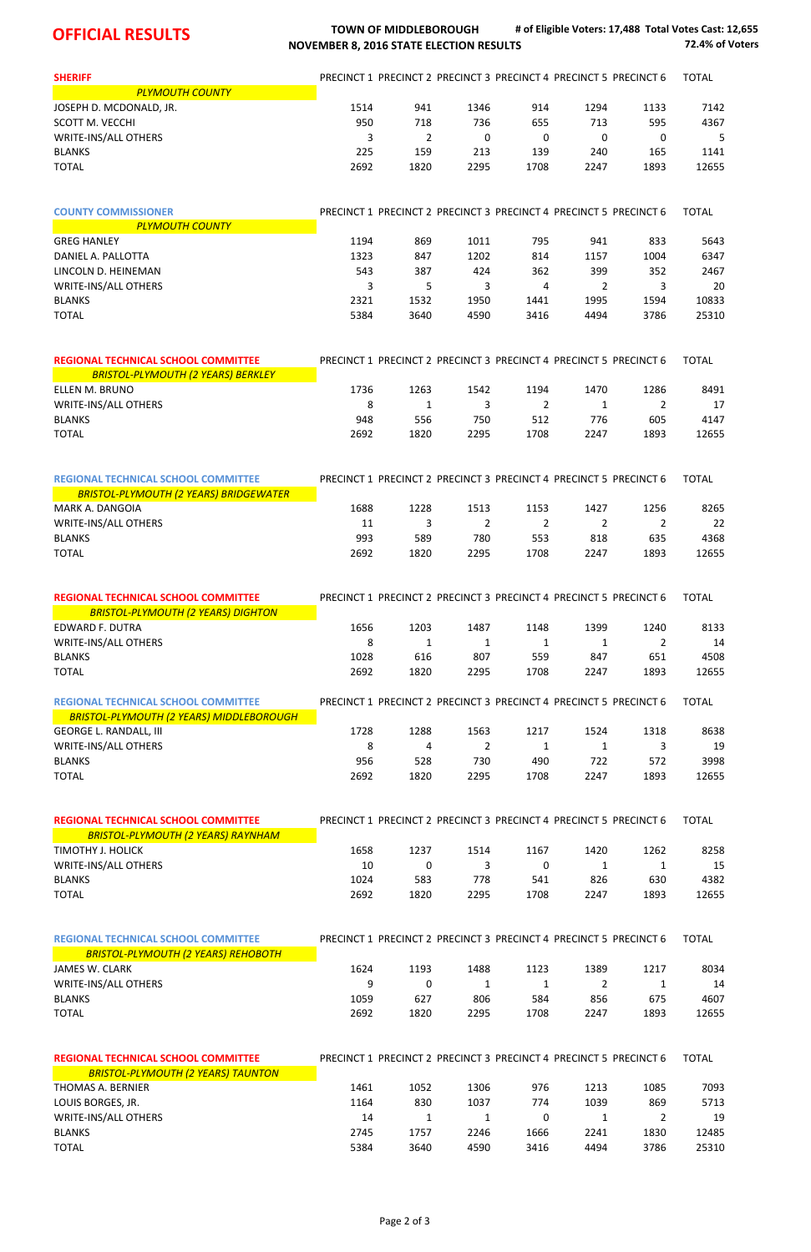## **OFFICIAL RESULTS TOWN** OF MIDDLEBOROUGH **NOVEMBER 8, 2016 STATE ELECTION RESULTS**

**# of Eligible Voters: 17,488 Total Votes Cast: 12,655 72.4% of Voters**

| <b>SHERIFF</b>                                                                         |      |                         |                         |      | PRECINCT 1 PRECINCT 2 PRECINCT 3 PRECINCT 4 PRECINCT 5 PRECINCT 6 |                | <b>TOTAL</b> |
|----------------------------------------------------------------------------------------|------|-------------------------|-------------------------|------|-------------------------------------------------------------------|----------------|--------------|
| <b>PLYMOUTH COUNTY</b>                                                                 |      |                         |                         |      |                                                                   |                |              |
| JOSEPH D. MCDONALD, JR.                                                                | 1514 | 941                     | 1346                    | 914  | 1294                                                              | 1133           | 7142         |
| SCOTT M. VECCHI                                                                        | 950  | 718                     | 736                     | 655  | 713                                                               | 595            | 4367         |
| <b>WRITE-INS/ALL OTHERS</b>                                                            | 3    | 2                       | $\mathbf 0$             | 0    | $\mathbf 0$                                                       | 0              | 5            |
| <b>BLANKS</b>                                                                          | 225  | 159                     | 213                     | 139  | 240                                                               | 165            | 1141         |
| <b>TOTAL</b>                                                                           | 2692 | 1820                    | 2295                    | 1708 | 2247                                                              | 1893           | 12655        |
| <b>COUNTY COMMISSIONER</b>                                                             |      |                         |                         |      | PRECINCT 1 PRECINCT 2 PRECINCT 3 PRECINCT 4 PRECINCT 5 PRECINCT 6 |                | <b>TOTAL</b> |
| <b>PLYMOUTH COUNTY</b>                                                                 |      |                         |                         |      |                                                                   |                |              |
| <b>GREG HANLEY</b>                                                                     | 1194 | 869                     | 1011                    | 795  | 941                                                               | 833            | 5643         |
| DANIEL A. PALLOTTA                                                                     | 1323 | 847                     | 1202                    | 814  | 1157                                                              | 1004           | 6347         |
| LINCOLN D. HEINEMAN                                                                    | 543  | 387                     | 424                     | 362  | 399                                                               | 352            | 2467         |
| <b>WRITE-INS/ALL OTHERS</b>                                                            | 3    | 5                       | 3                       | 4    | 2                                                                 | 3              | 20           |
| <b>BLANKS</b>                                                                          | 2321 | 1532                    | 1950                    | 1441 | 1995                                                              | 1594           | 10833        |
| <b>TOTAL</b>                                                                           | 5384 | 3640                    | 4590                    | 3416 | 4494                                                              | 3786           | 25310        |
| <b>REGIONAL TECHNICAL SCHOOL COMMITTEE</b>                                             |      |                         |                         |      | PRECINCT 1 PRECINCT 2 PRECINCT 3 PRECINCT 4 PRECINCT 5 PRECINCT 6 |                | <b>TOTAL</b> |
| <b>BRISTOL-PLYMOUTH (2 YEARS) BERKLEY</b>                                              |      |                         |                         |      |                                                                   |                |              |
| ELLEN M. BRUNO                                                                         | 1736 | 1263                    | 1542                    | 1194 | 1470                                                              | 1286           | 8491         |
| <b>WRITE-INS/ALL OTHERS</b>                                                            | 8    | 1                       | 3                       | 2    | 1                                                                 | 2              | 17           |
| <b>BLANKS</b>                                                                          | 948  | 556                     | 750                     | 512  | 776                                                               | 605            | 4147         |
| <b>TOTAL</b>                                                                           | 2692 | 1820                    | 2295                    | 1708 | 2247                                                              | 1893           | 12655        |
| <b>REGIONAL TECHNICAL SCHOOL COMMITTEE</b>                                             |      |                         |                         |      | PRECINCT 1 PRECINCT 2 PRECINCT 3 PRECINCT 4 PRECINCT 5 PRECINCT 6 |                | <b>TOTAL</b> |
| <b>BRISTOL-PLYMOUTH (2 YEARS) BRIDGEWATER</b>                                          |      |                         |                         |      |                                                                   |                |              |
| MARK A. DANGOIA                                                                        | 1688 | 1228                    | 1513                    | 1153 | 1427                                                              | 1256           | 8265         |
| <b>WRITE-INS/ALL OTHERS</b>                                                            | 11   | $\overline{\mathbf{3}}$ | $\overline{\mathbf{2}}$ |      | $2^{\circ}$<br>$\overline{2}$                                     | $\overline{2}$ | 22           |
| <b>BLANKS</b>                                                                          | 993  | 589                     | 780                     | 553  | 818                                                               | 635            | 4368         |
| <b>TOTAL</b>                                                                           | 2692 | 1820                    | 2295                    | 1708 | 2247                                                              | 1893           | 12655        |
| <b>REGIONAL TECHNICAL SCHOOL COMMITTEE</b>                                             |      |                         |                         |      | PRECINCT 1 PRECINCT 2 PRECINCT 3 PRECINCT 4 PRECINCT 5 PRECINCT 6 |                | <b>TOTAL</b> |
| <b>BRISTOL-PLYMOUTH (2 YEARS) DIGHTON</b>                                              |      |                         |                         |      |                                                                   |                |              |
| <b>EDWARD F. DUTRA</b>                                                                 | 1656 | 1203                    | 1487                    | 1148 | 1399                                                              | 1240           | 8133         |
| <b>WRITE-INS/ALL OTHERS</b>                                                            | 8    | 1                       | 1                       | 1    | 1                                                                 | 2              | 14           |
| <b>BLANKS</b>                                                                          | 1028 | 616                     | 807                     | 559  | 847                                                               | 651            | 4508         |
| <b>TOTAL</b>                                                                           | 2692 | 1820                    | 2295                    | 1708 | 2247                                                              | 1893           | 12655        |
| <b>REGIONAL TECHNICAL SCHOOL COMMITTEE</b><br>BRISTOL-PLYMOUTH (2 YEARS) MIDDLEBOROUGH |      |                         |                         |      | PRECINCT 1 PRECINCT 2 PRECINCT 3 PRECINCT 4 PRECINCT 5 PRECINCT 6 |                | <b>TOTAL</b> |
| <b>GEORGE L. RANDALL, III</b>                                                          | 1728 | 1288                    | 1563                    | 1217 | 1524                                                              | 1318           | 8638         |
| WRITE-INS/ALL OTHERS                                                                   | 8    | 4                       | 2                       | 1    | 1                                                                 | 3              | 19           |
| <b>BLANKS</b>                                                                          | 956  | 528                     | 730                     | 490  | 722                                                               | 572            | 3998         |
| <b>TOTAL</b>                                                                           | 2692 | 1820                    | 2295                    | 1708 | 2247                                                              | 1893           | 12655        |
| <b>REGIONAL TECHNICAL SCHOOL COMMITTEE</b>                                             |      |                         |                         |      | PRECINCT 1 PRECINCT 2 PRECINCT 3 PRECINCT 4 PRECINCT 5 PRECINCT 6 |                | <b>TOTAL</b> |
| <b>BRISTOL-PLYMOUTH (2 YEARS) RAYNHAM</b>                                              |      |                         |                         |      |                                                                   |                |              |
| TIMOTHY J. HOLICK                                                                      | 1658 | 1237                    | 1514                    | 1167 | 1420                                                              | 1262           | 8258         |
| <b>WRITE-INS/ALL OTHERS</b>                                                            | 10   | $\boldsymbol{0}$        | 3                       | 0    | 1                                                                 | $\mathbf{1}$   | 15           |

BLANKS 1024 583 778 541 826 630 4382 TOTAL 2692 1820 2295 1708 2247 1893 12655

| <b>REGIONAL TECHNICAL SCHOOL COMMITTEE</b> |      |      |      |          | PRECINCT 1 PRECINCT 2 PRECINCT 3 PRECINCT 4 PRECINCT 5 PRECINCT 6 |      | <b>TOTAL</b> |
|--------------------------------------------|------|------|------|----------|-------------------------------------------------------------------|------|--------------|
| <b>BRISTOL-PLYMOUTH (2 YEARS) REHOBOTH</b> |      |      |      |          |                                                                   |      |              |
| JAMES W. CLARK                             | 1624 | 1193 | 1488 | 1123     | 1389                                                              | 1217 | 8034         |
| <b>WRITE-INS/ALL OTHERS</b>                | 9    | 0    | 1    |          |                                                                   |      | 14           |
| <b>BLANKS</b>                              | 1059 | 627  | 806  | 584      | 856                                                               | 675  | 4607         |
| <b>TOTAL</b>                               | 2692 | 1820 | 2295 | 1708     | 2247                                                              | 1893 | 12655        |
|                                            |      |      |      |          |                                                                   |      |              |
| <b>REGIONAL TECHNICAL SCHOOL COMMITTEE</b> |      |      |      |          | PRECINCT 1 PRECINCT 2 PRECINCT 3 PRECINCT 4 PRECINCT 5 PRECINCT 6 |      | <b>TOTAL</b> |
| <b>BRISTOL-PLYMOUTH (2 YEARS) TAUNTON</b>  |      |      |      |          |                                                                   |      |              |
| THOMAS A. BERNIER                          | 1461 | 1052 | 1306 | 976      | 1213                                                              | 1085 | 7093         |
| LOUIS BORGES, JR.                          | 1164 | 830  | 1037 | 774      | 1039                                                              | 869  | 5713         |
| <b>WRITE-INS/ALL OTHERS</b>                | 14   |      | 1    | $\Omega$ | 1                                                                 | 2    | 19           |
| <b>BLANKS</b>                              | 2745 | 1757 | 2246 | 1666     | 2241                                                              | 1830 | 12485        |